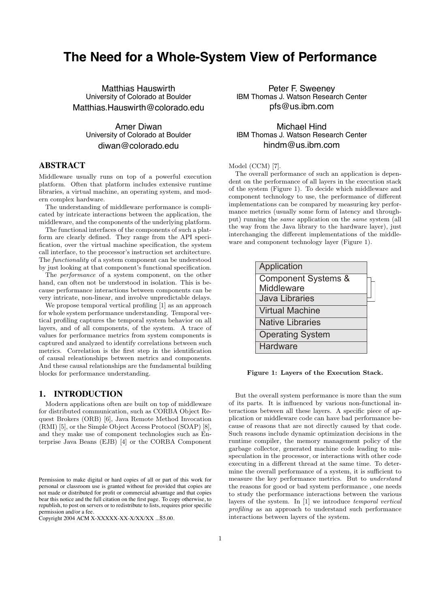# **The Need for a Whole-System View of Performance**

Matthias Hauswirth University of Colorado at Boulder Matthias.Hauswirth@colorado.edu

> Amer Diwan University of Colorado at Boulder diwan@colorado.edu

# **ABSTRACT**

Middleware usually runs on top of a powerful execution platform. Often that platform includes extensive runtime libraries, a virtual machine, an operating system, and modern complex hardware.

The understanding of middleware performance is complicated by intricate interactions between the application, the middleware, and the components of the underlying platform.

The functional interfaces of the components of such a platform are clearly defined. They range from the API specification, over the virtual machine specification, the system call interface, to the processor's instruction set architecture. The *functionality* of a system component can be understood by just looking at that component's functional specification.

The *performance* of a system component, on the other hand, can often not be understood in isolation. This is because performance interactions between components can be very intricate, non-linear, and involve unpredictable delays.

We propose temporal vertical profiling [1] as an approach for whole system performance understanding. Temporal vertical profiling captures the temporal system behavior on all layers, and of all components, of the system. A trace of values for performance metrics from system components is captured and analyzed to identify correlations between such metrics. Correlation is the first step in the identification of causal releationships between metrics and components. And these causal relationships are the fundamental building blocks for performance understanding.

## **1. INTRODUCTION**

Modern applications often are built on top of middleware for distributed communication, such as CORBA Object Request Brokers (ORB) [6], Java Remote Method Invocation (RMI) [5], or the Simple Object Access Protocol (SOAP) [8], and they make use of component technologies such as Enterprise Java Beans (EJB) [4] or the CORBA Component

Peter F. Sweeney IBM Thomas J. Watson Research Center pfs@us.ibm.com

## Michael Hind IBM Thomas J. Watson Research Center hindm@us.ibm.com

## Model (CCM) [7].

The overall performance of such an application is dependent on the performance of all layers in the execution stack of the system (Figure 1). To decide which middleware and component technology to use, the performance of different implementations can be compared by measuring key performance metrics (usually some form of latency and throughput) running the *same* application on the *same* system (all the way from the Java library to the hardware layer), just interchanging the different implementations of the middleware and component technology layer (Figure 1).

| Application                    |  |
|--------------------------------|--|
| <b>Component Systems &amp;</b> |  |
| Middleware                     |  |
| <b>Java Libraries</b>          |  |
| <b>Virtual Machine</b>         |  |
| <b>Native Libraries</b>        |  |
| <b>Operating System</b>        |  |
| Hardware                       |  |

#### Figure 1: Layers of the Execution Stack.

But the overall system performance is more than the sum of its parts. It is influenced by various non-functional interactions between all these layers. A specific piece of application or middleware code can have bad performance because of reasons that are not directly caused by that code. Such reasons include dynamic optimization decisions in the runtime compiler, the memory management policy of the garbage collector, generated machine code leading to misspeculation in the processor, or interactions with other code executing in a different thread at the same time. To determine the overall performance of a system, it is sufficient to measure the key performance metrics. But to *understand* the reasons for good or bad system performance , one needs to study the performance interactions between the various layers of the system. In [1] we introduce *temporal vertical profiling* as an approach to understand such performance interactions between layers of the system.

Permission to make digital or hard copies of all or part of this work for personal or classroom use is granted without fee provided that copies are not made or distributed for profit or commercial advantage and that copies bear this notice and the full citation on the first page. To copy otherwise, to republish, to post on servers or to redistribute to lists, requires prior specific permission and/or a fee.

Copyright 2004 ACM X-XXXXX-XX-X/XX/XX ...\$5.00.